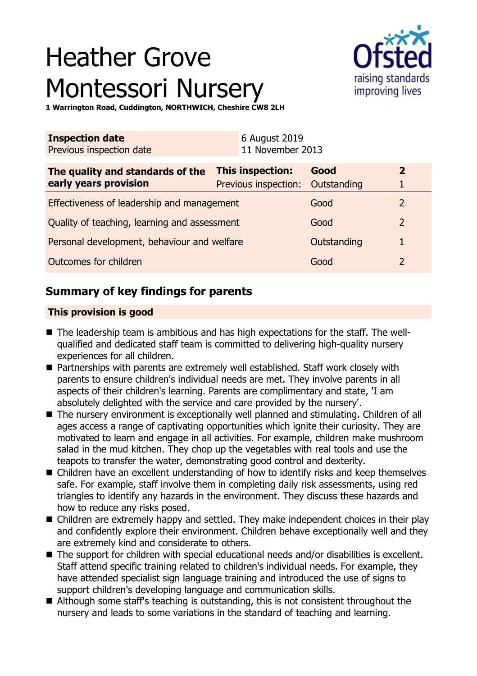# Heather Grove Montessori Nursery



**1 Warrington Road, Cuddington, NORTHWICH, Cheshire CW8 2LH**

| <b>Inspection date</b><br>Previous inspection date | 6 August 2019<br>11 November 2013 |             |                |
|----------------------------------------------------|-----------------------------------|-------------|----------------|
| The quality and standards of the                   | <b>This inspection:</b>           | Good        | $\overline{2}$ |
| early years provision                              | Previous inspection: Outstanding  |             |                |
| Effectiveness of leadership and management         |                                   | Good        | 2              |
| Quality of teaching, learning and assessment       |                                   | Good        | $\overline{2}$ |
| Personal development, behaviour and welfare        |                                   | Outstanding |                |
| Outcomes for children                              |                                   | Good        |                |

# **Summary of key findings for parents**

## **This provision is good**

- The leadership team is ambitious and has high expectations for the staff. The wellqualified and dedicated staff team is committed to delivering high-quality nursery experiences for all children.
- Partnerships with parents are extremely well established. Staff work closely with parents to ensure children's individual needs are met. They involve parents in all aspects of their children's learning. Parents are complimentary and state, 'I am absolutely delighted with the service and care provided by the nursery'.
- The nursery environment is exceptionally well planned and stimulating. Children of all ages access a range of captivating opportunities which ignite their curiosity. They are motivated to learn and engage in all activities. For example, children make mushroom salad in the mud kitchen. They chop up the vegetables with real tools and use the teapots to transfer the water, demonstrating good control and dexterity.
- Children have an excellent understanding of how to identify risks and keep themselves safe. For example, staff involve them in completing daily risk assessments, using red triangles to identify any hazards in the environment. They discuss these hazards and how to reduce any risks posed.
- Children are extremely happy and settled. They make independent choices in their play and confidently explore their environment. Children behave exceptionally well and they are extremely kind and considerate to others.
- $\blacksquare$  The support for children with special educational needs and/or disabilities is excellent. Staff attend specific training related to children's individual needs. For example, they have attended specialist sign language training and introduced the use of signs to support children's developing language and communication skills.
- Although some staff's teaching is outstanding, this is not consistent throughout the nursery and leads to some variations in the standard of teaching and learning.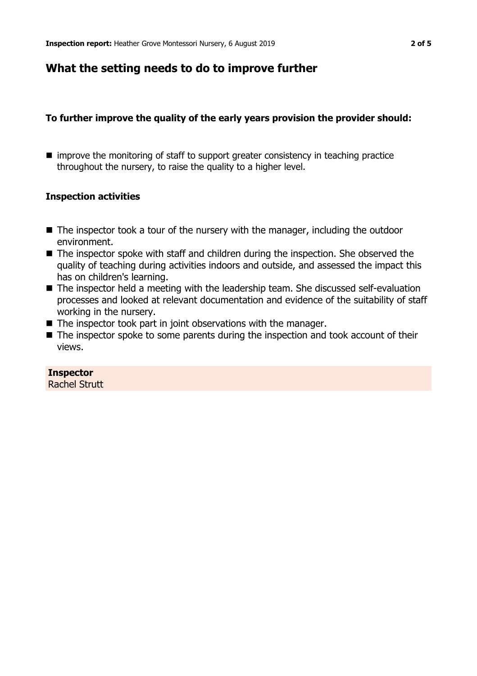## **What the setting needs to do to improve further**

## **To further improve the quality of the early years provision the provider should:**

 $\blacksquare$  improve the monitoring of staff to support greater consistency in teaching practice throughout the nursery, to raise the quality to a higher level.

## **Inspection activities**

- $\blacksquare$  The inspector took a tour of the nursery with the manager, including the outdoor environment.
- $\blacksquare$  The inspector spoke with staff and children during the inspection. She observed the quality of teaching during activities indoors and outside, and assessed the impact this has on children's learning.
- $\blacksquare$  The inspector held a meeting with the leadership team. She discussed self-evaluation processes and looked at relevant documentation and evidence of the suitability of staff working in the nursery.
- $\blacksquare$  The inspector took part in joint observations with the manager.
- $\blacksquare$  The inspector spoke to some parents during the inspection and took account of their views.

## **Inspector**

Rachel Strutt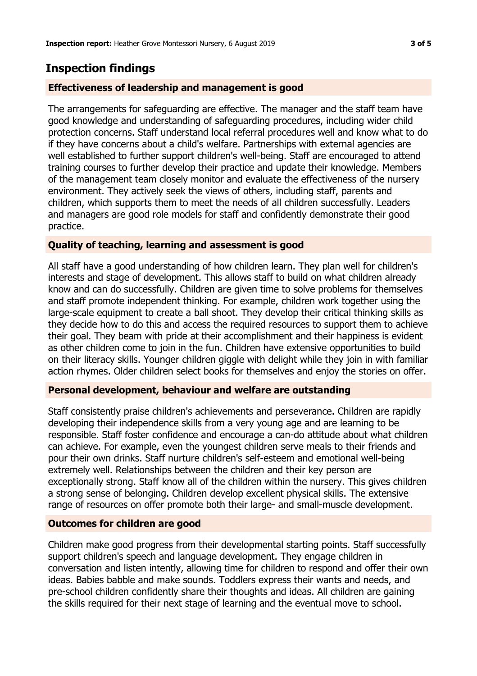## **Inspection findings**

## **Effectiveness of leadership and management is good**

The arrangements for safeguarding are effective. The manager and the staff team have good knowledge and understanding of safeguarding procedures, including wider child protection concerns. Staff understand local referral procedures well and know what to do if they have concerns about a child's welfare. Partnerships with external agencies are well established to further support children's well-being. Staff are encouraged to attend training courses to further develop their practice and update their knowledge. Members of the management team closely monitor and evaluate the effectiveness of the nursery environment. They actively seek the views of others, including staff, parents and children, which supports them to meet the needs of all children successfully. Leaders and managers are good role models for staff and confidently demonstrate their good practice.

## **Quality of teaching, learning and assessment is good**

All staff have a good understanding of how children learn. They plan well for children's interests and stage of development. This allows staff to build on what children already know and can do successfully. Children are given time to solve problems for themselves and staff promote independent thinking. For example, children work together using the large-scale equipment to create a ball shoot. They develop their critical thinking skills as they decide how to do this and access the required resources to support them to achieve their goal. They beam with pride at their accomplishment and their happiness is evident as other children come to join in the fun. Children have extensive opportunities to build on their literacy skills. Younger children giggle with delight while they join in with familiar action rhymes. Older children select books for themselves and enjoy the stories on offer.

## **Personal development, behaviour and welfare are outstanding**

Staff consistently praise children's achievements and perseverance. Children are rapidly developing their independence skills from a very young age and are learning to be responsible. Staff foster confidence and encourage a can-do attitude about what children can achieve. For example, even the youngest children serve meals to their friends and pour their own drinks. Staff nurture children's self-esteem and emotional well-being extremely well. Relationships between the children and their key person are exceptionally strong. Staff know all of the children within the nursery. This gives children a strong sense of belonging. Children develop excellent physical skills. The extensive range of resources on offer promote both their large- and small-muscle development.

## **Outcomes for children are good**

Children make good progress from their developmental starting points. Staff successfully support children's speech and language development. They engage children in conversation and listen intently, allowing time for children to respond and offer their own ideas. Babies babble and make sounds. Toddlers express their wants and needs, and pre-school children confidently share their thoughts and ideas. All children are gaining the skills required for their next stage of learning and the eventual move to school.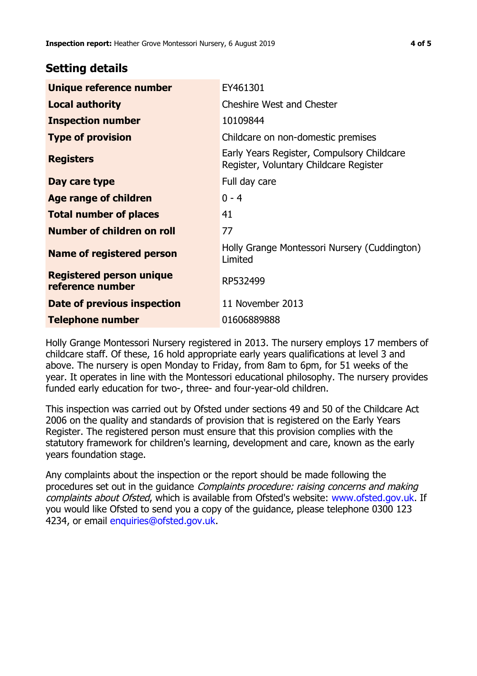## **Setting details**

| Unique reference number                             | EY461301                                                                             |  |
|-----------------------------------------------------|--------------------------------------------------------------------------------------|--|
| <b>Local authority</b>                              | <b>Cheshire West and Chester</b>                                                     |  |
| <b>Inspection number</b>                            | 10109844                                                                             |  |
| <b>Type of provision</b>                            | Childcare on non-domestic premises                                                   |  |
| <b>Registers</b>                                    | Early Years Register, Compulsory Childcare<br>Register, Voluntary Childcare Register |  |
| Day care type                                       | Full day care                                                                        |  |
| <b>Age range of children</b>                        | $0 - 4$                                                                              |  |
| <b>Total number of places</b>                       | 41                                                                                   |  |
| Number of children on roll                          | 77                                                                                   |  |
| Name of registered person                           | Holly Grange Montessori Nursery (Cuddington)<br>Limited                              |  |
| <b>Registered person unique</b><br>reference number | RP532499                                                                             |  |
| <b>Date of previous inspection</b>                  | 11 November 2013                                                                     |  |
| <b>Telephone number</b>                             | 01606889888                                                                          |  |

Holly Grange Montessori Nursery registered in 2013. The nursery employs 17 members of childcare staff. Of these, 16 hold appropriate early years qualifications at level 3 and above. The nursery is open Monday to Friday, from 8am to 6pm, for 51 weeks of the year. It operates in line with the Montessori educational philosophy. The nursery provides funded early education for two-, three- and four-year-old children.

This inspection was carried out by Ofsted under sections 49 and 50 of the Childcare Act 2006 on the quality and standards of provision that is registered on the Early Years Register. The registered person must ensure that this provision complies with the statutory framework for children's learning, development and care, known as the early years foundation stage.

Any complaints about the inspection or the report should be made following the procedures set out in the guidance Complaints procedure: raising concerns and making complaints about Ofsted, which is available from Ofsted's website: www.ofsted.gov.uk. If you would like Ofsted to send you a copy of the guidance, please telephone 0300 123 4234, or email [enquiries@ofsted.gov.uk.](mailto:enquiries@ofsted.gov.uk)